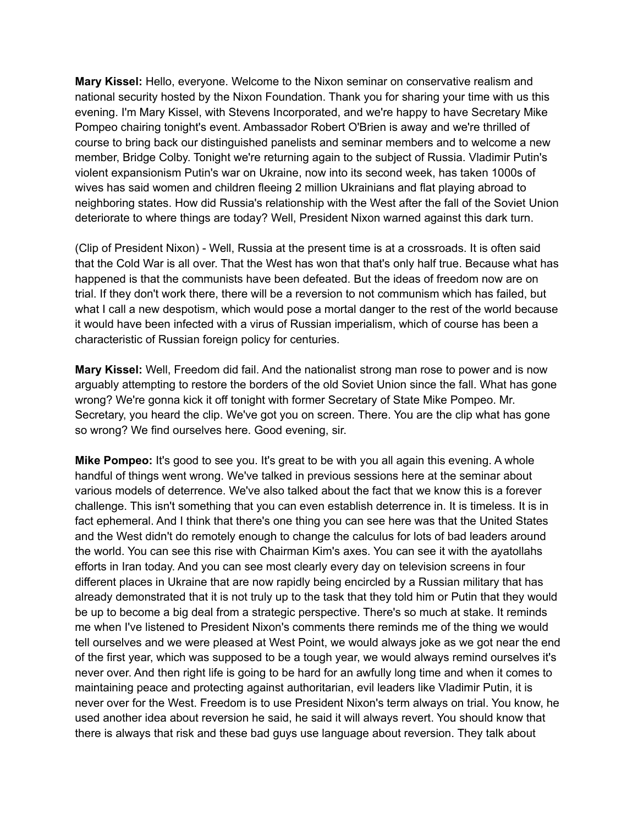**Mary Kissel:** Hello, everyone. Welcome to the Nixon seminar on conservative realism and national security hosted by the Nixon Foundation. Thank you for sharing your time with us this evening. I'm Mary Kissel, with Stevens Incorporated, and we're happy to have Secretary Mike Pompeo chairing tonight's event. Ambassador Robert O'Brien is away and we're thrilled of course to bring back our distinguished panelists and seminar members and to welcome a new member, Bridge Colby. Tonight we're returning again to the subject of Russia. Vladimir Putin's violent expansionism Putin's war on Ukraine, now into its second week, has taken 1000s of wives has said women and children fleeing 2 million Ukrainians and flat playing abroad to neighboring states. How did Russia's relationship with the West after the fall of the Soviet Union deteriorate to where things are today? Well, President Nixon warned against this dark turn.

(Clip of President Nixon) - Well, Russia at the present time is at a crossroads. It is often said that the Cold War is all over. That the West has won that that's only half true. Because what has happened is that the communists have been defeated. But the ideas of freedom now are on trial. If they don't work there, there will be a reversion to not communism which has failed, but what I call a new despotism, which would pose a mortal danger to the rest of the world because it would have been infected with a virus of Russian imperialism, which of course has been a characteristic of Russian foreign policy for centuries.

**Mary Kissel:** Well, Freedom did fail. And the nationalist strong man rose to power and is now arguably attempting to restore the borders of the old Soviet Union since the fall. What has gone wrong? We're gonna kick it off tonight with former Secretary of State Mike Pompeo. Mr. Secretary, you heard the clip. We've got you on screen. There. You are the clip what has gone so wrong? We find ourselves here. Good evening, sir.

**Mike Pompeo:** It's good to see you. It's great to be with you all again this evening. A whole handful of things went wrong. We've talked in previous sessions here at the seminar about various models of deterrence. We've also talked about the fact that we know this is a forever challenge. This isn't something that you can even establish deterrence in. It is timeless. It is in fact ephemeral. And I think that there's one thing you can see here was that the United States and the West didn't do remotely enough to change the calculus for lots of bad leaders around the world. You can see this rise with Chairman Kim's axes. You can see it with the ayatollahs efforts in Iran today. And you can see most clearly every day on television screens in four different places in Ukraine that are now rapidly being encircled by a Russian military that has already demonstrated that it is not truly up to the task that they told him or Putin that they would be up to become a big deal from a strategic perspective. There's so much at stake. It reminds me when I've listened to President Nixon's comments there reminds me of the thing we would tell ourselves and we were pleased at West Point, we would always joke as we got near the end of the first year, which was supposed to be a tough year, we would always remind ourselves it's never over. And then right life is going to be hard for an awfully long time and when it comes to maintaining peace and protecting against authoritarian, evil leaders like Vladimir Putin, it is never over for the West. Freedom is to use President Nixon's term always on trial. You know, he used another idea about reversion he said, he said it will always revert. You should know that there is always that risk and these bad guys use language about reversion. They talk about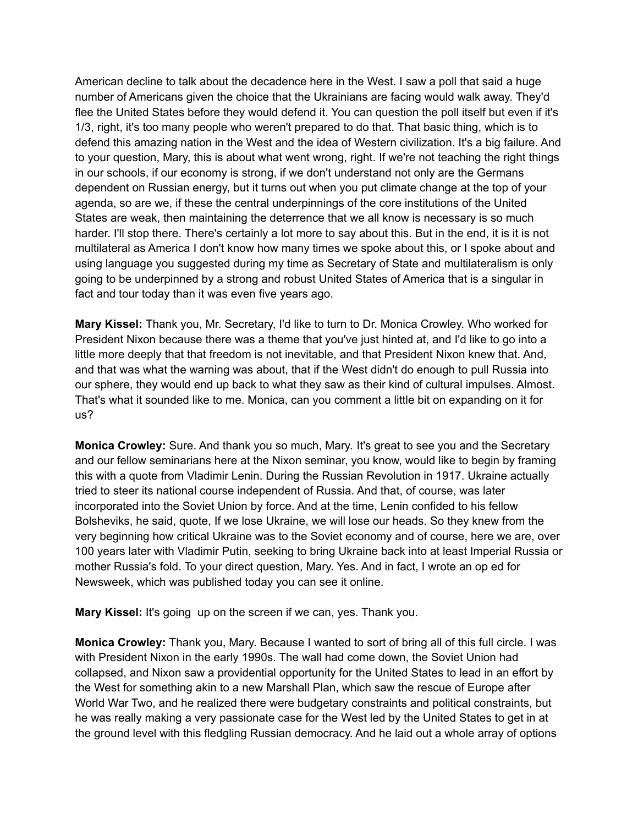American decline to talk about the decadence here in the West. I saw a poll that said a huge number of Americans given the choice that the Ukrainians are facing would walk away. They'd flee the United States before they would defend it. You can question the poll itself but even if it's 1/3, right, it's too many people who weren't prepared to do that. That basic thing, which is to defend this amazing nation in the West and the idea of Western civilization. It's a big failure. And to your question, Mary, this is about what went wrong, right. If we're not teaching the right things in our schools, if our economy is strong, if we don't understand not only are the Germans dependent on Russian energy, but it turns out when you put climate change at the top of your agenda, so are we, if these the central underpinnings of the core institutions of the United States are weak, then maintaining the deterrence that we all know is necessary is so much harder. I'll stop there. There's certainly a lot more to say about this. But in the end, it is it is not multilateral as America I don't know how many times we spoke about this, or I spoke about and using language you suggested during my time as Secretary of State and multilateralism is only going to be underpinned by a strong and robust United States of America that is a singular in fact and tour today than it was even five years ago.

**Mary Kissel:** Thank you, Mr. Secretary, I'd like to turn to Dr. Monica Crowley. Who worked for President Nixon because there was a theme that you've just hinted at, and I'd like to go into a little more deeply that that freedom is not inevitable, and that President Nixon knew that. And, and that was what the warning was about, that if the West didn't do enough to pull Russia into our sphere, they would end up back to what they saw as their kind of cultural impulses. Almost. That's what it sounded like to me. Monica, can you comment a little bit on expanding on it for us?

**Monica Crowley:** Sure. And thank you so much, Mary. It's great to see you and the Secretary and our fellow seminarians here at the Nixon seminar, you know, would like to begin by framing this with a quote from Vladimir Lenin. During the Russian Revolution in 1917. Ukraine actually tried to steer its national course independent of Russia. And that, of course, was later incorporated into the Soviet Union by force. And at the time, Lenin confided to his fellow Bolsheviks, he said, quote, If we lose Ukraine, we will lose our heads. So they knew from the very beginning how critical Ukraine was to the Soviet economy and of course, here we are, over 100 years later with Vladimir Putin, seeking to bring Ukraine back into at least Imperial Russia or mother Russia's fold. To your direct question, Mary. Yes. And in fact, I wrote an op ed for Newsweek, which was published today you can see it online.

**Mary Kissel:** It's going up on the screen if we can, yes. Thank you.

**Monica Crowley:** Thank you, Mary. Because I wanted to sort of bring all of this full circle. I was with President Nixon in the early 1990s. The wall had come down, the Soviet Union had collapsed, and Nixon saw a providential opportunity for the United States to lead in an effort by the West for something akin to a new Marshall Plan, which saw the rescue of Europe after World War Two, and he realized there were budgetary constraints and political constraints, but he was really making a very passionate case for the West led by the United States to get in at the ground level with this fledgling Russian democracy. And he laid out a whole array of options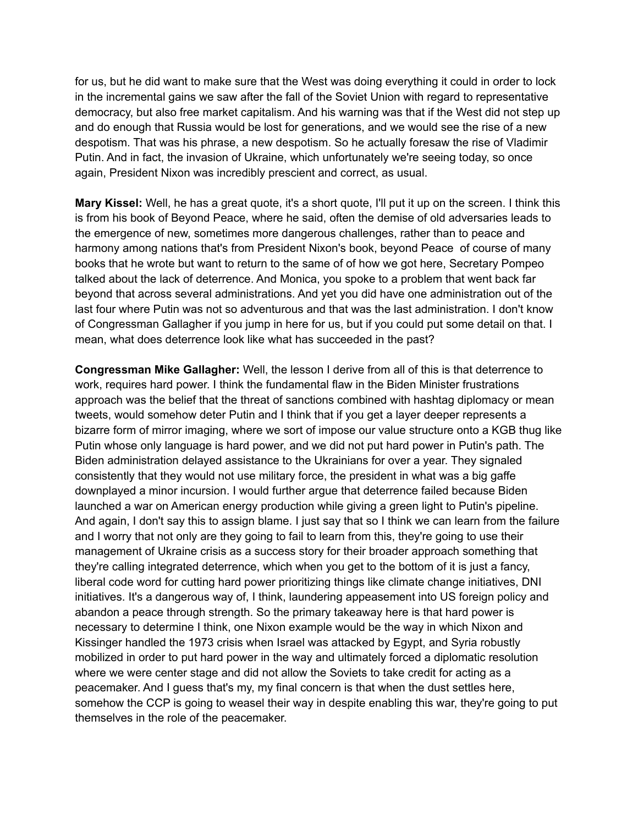for us, but he did want to make sure that the West was doing everything it could in order to lock in the incremental gains we saw after the fall of the Soviet Union with regard to representative democracy, but also free market capitalism. And his warning was that if the West did not step up and do enough that Russia would be lost for generations, and we would see the rise of a new despotism. That was his phrase, a new despotism. So he actually foresaw the rise of Vladimir Putin. And in fact, the invasion of Ukraine, which unfortunately we're seeing today, so once again, President Nixon was incredibly prescient and correct, as usual.

**Mary Kissel:** Well, he has a great quote, it's a short quote, I'll put it up on the screen. I think this is from his book of Beyond Peace, where he said, often the demise of old adversaries leads to the emergence of new, sometimes more dangerous challenges, rather than to peace and harmony among nations that's from President Nixon's book, beyond Peace of course of many books that he wrote but want to return to the same of of how we got here, Secretary Pompeo talked about the lack of deterrence. And Monica, you spoke to a problem that went back far beyond that across several administrations. And yet you did have one administration out of the last four where Putin was not so adventurous and that was the last administration. I don't know of Congressman Gallagher if you jump in here for us, but if you could put some detail on that. I mean, what does deterrence look like what has succeeded in the past?

**Congressman Mike Gallagher:** Well, the lesson I derive from all of this is that deterrence to work, requires hard power. I think the fundamental flaw in the Biden Minister frustrations approach was the belief that the threat of sanctions combined with hashtag diplomacy or mean tweets, would somehow deter Putin and I think that if you get a layer deeper represents a bizarre form of mirror imaging, where we sort of impose our value structure onto a KGB thug like Putin whose only language is hard power, and we did not put hard power in Putin's path. The Biden administration delayed assistance to the Ukrainians for over a year. They signaled consistently that they would not use military force, the president in what was a big gaffe downplayed a minor incursion. I would further argue that deterrence failed because Biden launched a war on American energy production while giving a green light to Putin's pipeline. And again, I don't say this to assign blame. I just say that so I think we can learn from the failure and I worry that not only are they going to fail to learn from this, they're going to use their management of Ukraine crisis as a success story for their broader approach something that they're calling integrated deterrence, which when you get to the bottom of it is just a fancy, liberal code word for cutting hard power prioritizing things like climate change initiatives, DNI initiatives. It's a dangerous way of, I think, laundering appeasement into US foreign policy and abandon a peace through strength. So the primary takeaway here is that hard power is necessary to determine I think, one Nixon example would be the way in which Nixon and Kissinger handled the 1973 crisis when Israel was attacked by Egypt, and Syria robustly mobilized in order to put hard power in the way and ultimately forced a diplomatic resolution where we were center stage and did not allow the Soviets to take credit for acting as a peacemaker. And I guess that's my, my final concern is that when the dust settles here, somehow the CCP is going to weasel their way in despite enabling this war, they're going to put themselves in the role of the peacemaker.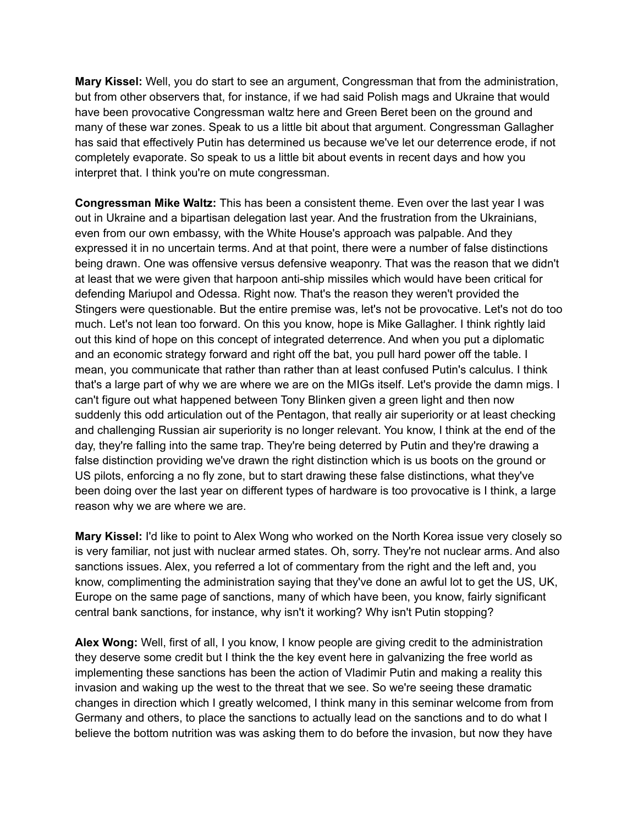**Mary Kissel:** Well, you do start to see an argument, Congressman that from the administration, but from other observers that, for instance, if we had said Polish mags and Ukraine that would have been provocative Congressman waltz here and Green Beret been on the ground and many of these war zones. Speak to us a little bit about that argument. Congressman Gallagher has said that effectively Putin has determined us because we've let our deterrence erode, if not completely evaporate. So speak to us a little bit about events in recent days and how you interpret that. I think you're on mute congressman.

**Congressman Mike Waltz:** This has been a consistent theme. Even over the last year I was out in Ukraine and a bipartisan delegation last year. And the frustration from the Ukrainians, even from our own embassy, with the White House's approach was palpable. And they expressed it in no uncertain terms. And at that point, there were a number of false distinctions being drawn. One was offensive versus defensive weaponry. That was the reason that we didn't at least that we were given that harpoon anti-ship missiles which would have been critical for defending Mariupol and Odessa. Right now. That's the reason they weren't provided the Stingers were questionable. But the entire premise was, let's not be provocative. Let's not do too much. Let's not lean too forward. On this you know, hope is Mike Gallagher. I think rightly laid out this kind of hope on this concept of integrated deterrence. And when you put a diplomatic and an economic strategy forward and right off the bat, you pull hard power off the table. I mean, you communicate that rather than rather than at least confused Putin's calculus. I think that's a large part of why we are where we are on the MIGs itself. Let's provide the damn migs. I can't figure out what happened between Tony Blinken given a green light and then now suddenly this odd articulation out of the Pentagon, that really air superiority or at least checking and challenging Russian air superiority is no longer relevant. You know, I think at the end of the day, they're falling into the same trap. They're being deterred by Putin and they're drawing a false distinction providing we've drawn the right distinction which is us boots on the ground or US pilots, enforcing a no fly zone, but to start drawing these false distinctions, what they've been doing over the last year on different types of hardware is too provocative is I think, a large reason why we are where we are.

**Mary Kissel:** I'd like to point to Alex Wong who worked on the North Korea issue very closely so is very familiar, not just with nuclear armed states. Oh, sorry. They're not nuclear arms. And also sanctions issues. Alex, you referred a lot of commentary from the right and the left and, you know, complimenting the administration saying that they've done an awful lot to get the US, UK, Europe on the same page of sanctions, many of which have been, you know, fairly significant central bank sanctions, for instance, why isn't it working? Why isn't Putin stopping?

**Alex Wong:** Well, first of all, I you know, I know people are giving credit to the administration they deserve some credit but I think the the key event here in galvanizing the free world as implementing these sanctions has been the action of Vladimir Putin and making a reality this invasion and waking up the west to the threat that we see. So we're seeing these dramatic changes in direction which I greatly welcomed, I think many in this seminar welcome from from Germany and others, to place the sanctions to actually lead on the sanctions and to do what I believe the bottom nutrition was was asking them to do before the invasion, but now they have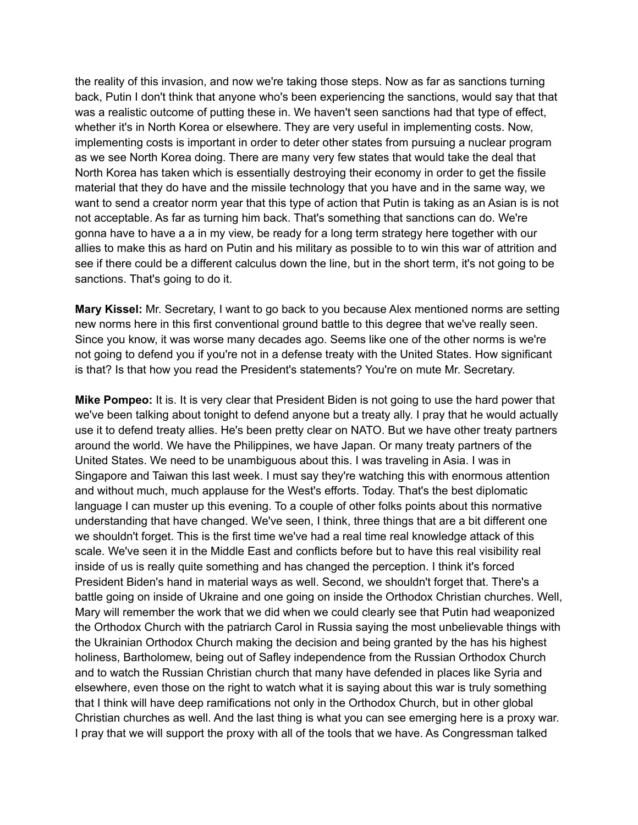the reality of this invasion, and now we're taking those steps. Now as far as sanctions turning back, Putin I don't think that anyone who's been experiencing the sanctions, would say that that was a realistic outcome of putting these in. We haven't seen sanctions had that type of effect, whether it's in North Korea or elsewhere. They are very useful in implementing costs. Now, implementing costs is important in order to deter other states from pursuing a nuclear program as we see North Korea doing. There are many very few states that would take the deal that North Korea has taken which is essentially destroying their economy in order to get the fissile material that they do have and the missile technology that you have and in the same way, we want to send a creator norm year that this type of action that Putin is taking as an Asian is is not not acceptable. As far as turning him back. That's something that sanctions can do. We're gonna have to have a a in my view, be ready for a long term strategy here together with our allies to make this as hard on Putin and his military as possible to to win this war of attrition and see if there could be a different calculus down the line, but in the short term, it's not going to be sanctions. That's going to do it.

**Mary Kissel:** Mr. Secretary, I want to go back to you because Alex mentioned norms are setting new norms here in this first conventional ground battle to this degree that we've really seen. Since you know, it was worse many decades ago. Seems like one of the other norms is we're not going to defend you if you're not in a defense treaty with the United States. How significant is that? Is that how you read the President's statements? You're on mute Mr. Secretary.

**Mike Pompeo:** It is. It is very clear that President Biden is not going to use the hard power that we've been talking about tonight to defend anyone but a treaty ally. I pray that he would actually use it to defend treaty allies. He's been pretty clear on NATO. But we have other treaty partners around the world. We have the Philippines, we have Japan. Or many treaty partners of the United States. We need to be unambiguous about this. I was traveling in Asia. I was in Singapore and Taiwan this last week. I must say they're watching this with enormous attention and without much, much applause for the West's efforts. Today. That's the best diplomatic language I can muster up this evening. To a couple of other folks points about this normative understanding that have changed. We've seen, I think, three things that are a bit different one we shouldn't forget. This is the first time we've had a real time real knowledge attack of this scale. We've seen it in the Middle East and conflicts before but to have this real visibility real inside of us is really quite something and has changed the perception. I think it's forced President Biden's hand in material ways as well. Second, we shouldn't forget that. There's a battle going on inside of Ukraine and one going on inside the Orthodox Christian churches. Well, Mary will remember the work that we did when we could clearly see that Putin had weaponized the Orthodox Church with the patriarch Carol in Russia saying the most unbelievable things with the Ukrainian Orthodox Church making the decision and being granted by the has his highest holiness, Bartholomew, being out of Safley independence from the Russian Orthodox Church and to watch the Russian Christian church that many have defended in places like Syria and elsewhere, even those on the right to watch what it is saying about this war is truly something that I think will have deep ramifications not only in the Orthodox Church, but in other global Christian churches as well. And the last thing is what you can see emerging here is a proxy war. I pray that we will support the proxy with all of the tools that we have. As Congressman talked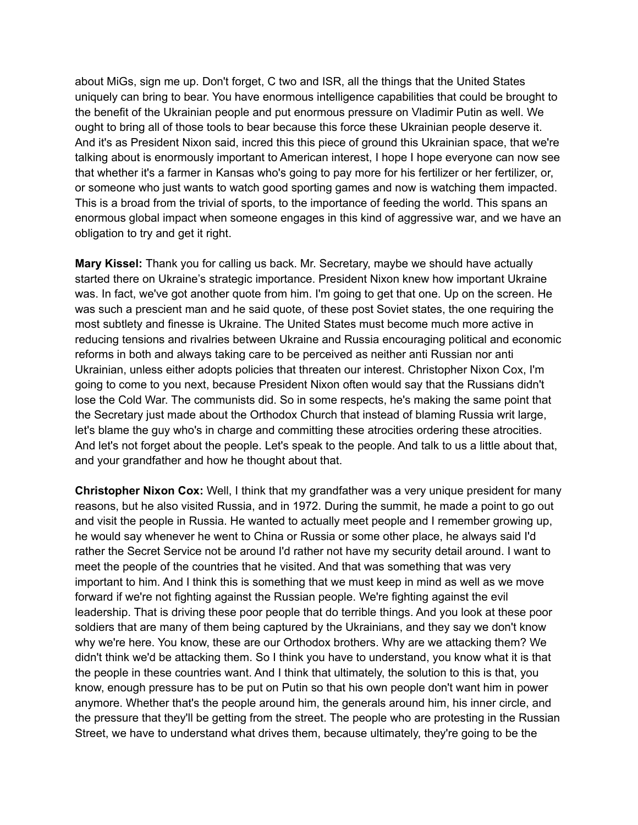about MiGs, sign me up. Don't forget, C two and ISR, all the things that the United States uniquely can bring to bear. You have enormous intelligence capabilities that could be brought to the benefit of the Ukrainian people and put enormous pressure on Vladimir Putin as well. We ought to bring all of those tools to bear because this force these Ukrainian people deserve it. And it's as President Nixon said, incred this this piece of ground this Ukrainian space, that we're talking about is enormously important to American interest, I hope I hope everyone can now see that whether it's a farmer in Kansas who's going to pay more for his fertilizer or her fertilizer, or, or someone who just wants to watch good sporting games and now is watching them impacted. This is a broad from the trivial of sports, to the importance of feeding the world. This spans an enormous global impact when someone engages in this kind of aggressive war, and we have an obligation to try and get it right.

**Mary Kissel:** Thank you for calling us back. Mr. Secretary, maybe we should have actually started there on Ukraine's strategic importance. President Nixon knew how important Ukraine was. In fact, we've got another quote from him. I'm going to get that one. Up on the screen. He was such a prescient man and he said quote, of these post Soviet states, the one requiring the most subtlety and finesse is Ukraine. The United States must become much more active in reducing tensions and rivalries between Ukraine and Russia encouraging political and economic reforms in both and always taking care to be perceived as neither anti Russian nor anti Ukrainian, unless either adopts policies that threaten our interest. Christopher Nixon Cox, I'm going to come to you next, because President Nixon often would say that the Russians didn't lose the Cold War. The communists did. So in some respects, he's making the same point that the Secretary just made about the Orthodox Church that instead of blaming Russia writ large, let's blame the guy who's in charge and committing these atrocities ordering these atrocities. And let's not forget about the people. Let's speak to the people. And talk to us a little about that, and your grandfather and how he thought about that.

**Christopher Nixon Cox:** Well, I think that my grandfather was a very unique president for many reasons, but he also visited Russia, and in 1972. During the summit, he made a point to go out and visit the people in Russia. He wanted to actually meet people and I remember growing up, he would say whenever he went to China or Russia or some other place, he always said I'd rather the Secret Service not be around I'd rather not have my security detail around. I want to meet the people of the countries that he visited. And that was something that was very important to him. And I think this is something that we must keep in mind as well as we move forward if we're not fighting against the Russian people. We're fighting against the evil leadership. That is driving these poor people that do terrible things. And you look at these poor soldiers that are many of them being captured by the Ukrainians, and they say we don't know why we're here. You know, these are our Orthodox brothers. Why are we attacking them? We didn't think we'd be attacking them. So I think you have to understand, you know what it is that the people in these countries want. And I think that ultimately, the solution to this is that, you know, enough pressure has to be put on Putin so that his own people don't want him in power anymore. Whether that's the people around him, the generals around him, his inner circle, and the pressure that they'll be getting from the street. The people who are protesting in the Russian Street, we have to understand what drives them, because ultimately, they're going to be the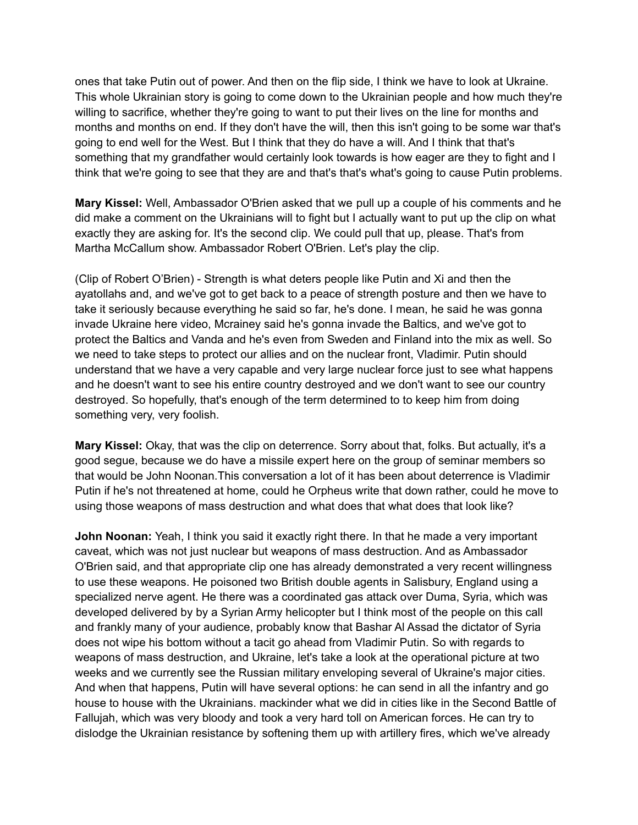ones that take Putin out of power. And then on the flip side, I think we have to look at Ukraine. This whole Ukrainian story is going to come down to the Ukrainian people and how much they're willing to sacrifice, whether they're going to want to put their lives on the line for months and months and months on end. If they don't have the will, then this isn't going to be some war that's going to end well for the West. But I think that they do have a will. And I think that that's something that my grandfather would certainly look towards is how eager are they to fight and I think that we're going to see that they are and that's that's what's going to cause Putin problems.

**Mary Kissel:** Well, Ambassador O'Brien asked that we pull up a couple of his comments and he did make a comment on the Ukrainians will to fight but I actually want to put up the clip on what exactly they are asking for. It's the second clip. We could pull that up, please. That's from Martha McCallum show. Ambassador Robert O'Brien. Let's play the clip.

(Clip of Robert O'Brien) - Strength is what deters people like Putin and Xi and then the ayatollahs and, and we've got to get back to a peace of strength posture and then we have to take it seriously because everything he said so far, he's done. I mean, he said he was gonna invade Ukraine here video, Mcrainey said he's gonna invade the Baltics, and we've got to protect the Baltics and Vanda and he's even from Sweden and Finland into the mix as well. So we need to take steps to protect our allies and on the nuclear front, Vladimir. Putin should understand that we have a very capable and very large nuclear force just to see what happens and he doesn't want to see his entire country destroyed and we don't want to see our country destroyed. So hopefully, that's enough of the term determined to to keep him from doing something very, very foolish.

**Mary Kissel:** Okay, that was the clip on deterrence. Sorry about that, folks. But actually, it's a good segue, because we do have a missile expert here on the group of seminar members so that would be John Noonan.This conversation a lot of it has been about deterrence is Vladimir Putin if he's not threatened at home, could he Orpheus write that down rather, could he move to using those weapons of mass destruction and what does that what does that look like?

**John Noonan:** Yeah, I think you said it exactly right there. In that he made a very important caveat, which was not just nuclear but weapons of mass destruction. And as Ambassador O'Brien said, and that appropriate clip one has already demonstrated a very recent willingness to use these weapons. He poisoned two British double agents in Salisbury, England using a specialized nerve agent. He there was a coordinated gas attack over Duma, Syria, which was developed delivered by by a Syrian Army helicopter but I think most of the people on this call and frankly many of your audience, probably know that Bashar Al Assad the dictator of Syria does not wipe his bottom without a tacit go ahead from Vladimir Putin. So with regards to weapons of mass destruction, and Ukraine, let's take a look at the operational picture at two weeks and we currently see the Russian military enveloping several of Ukraine's major cities. And when that happens, Putin will have several options: he can send in all the infantry and go house to house with the Ukrainians. mackinder what we did in cities like in the Second Battle of Fallujah, which was very bloody and took a very hard toll on American forces. He can try to dislodge the Ukrainian resistance by softening them up with artillery fires, which we've already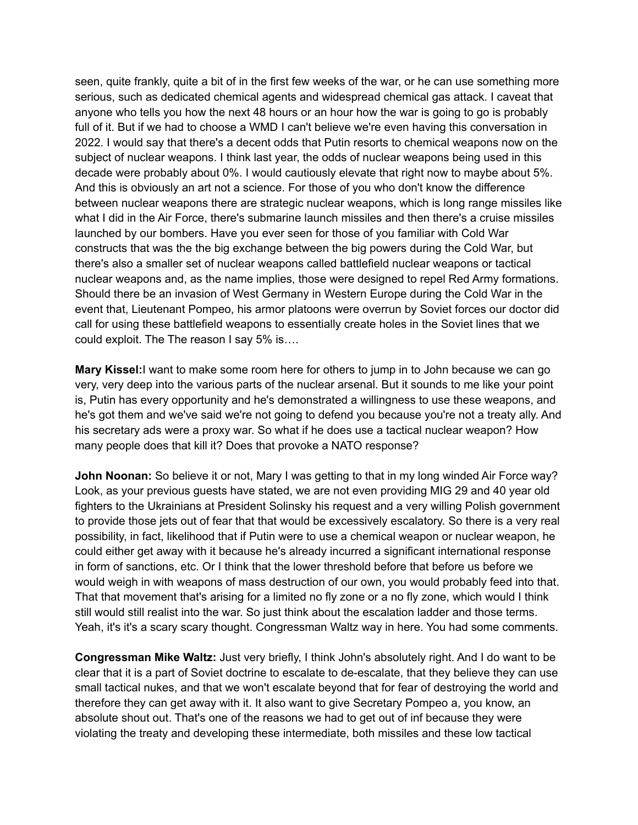seen, quite frankly, quite a bit of in the first few weeks of the war, or he can use something more serious, such as dedicated chemical agents and widespread chemical gas attack. I caveat that anyone who tells you how the next 48 hours or an hour how the war is going to go is probably full of it. But if we had to choose a WMD I can't believe we're even having this conversation in 2022. I would say that there's a decent odds that Putin resorts to chemical weapons now on the subject of nuclear weapons. I think last year, the odds of nuclear weapons being used in this decade were probably about 0%. I would cautiously elevate that right now to maybe about 5%. And this is obviously an art not a science. For those of you who don't know the difference between nuclear weapons there are strategic nuclear weapons, which is long range missiles like what I did in the Air Force, there's submarine launch missiles and then there's a cruise missiles launched by our bombers. Have you ever seen for those of you familiar with Cold War constructs that was the the big exchange between the big powers during the Cold War, but there's also a smaller set of nuclear weapons called battlefield nuclear weapons or tactical nuclear weapons and, as the name implies, those were designed to repel Red Army formations. Should there be an invasion of West Germany in Western Europe during the Cold War in the event that, Lieutenant Pompeo, his armor platoons were overrun by Soviet forces our doctor did call for using these battlefield weapons to essentially create holes in the Soviet lines that we could exploit. The The reason I say 5% is….

**Mary Kissel:**I want to make some room here for others to jump in to John because we can go very, very deep into the various parts of the nuclear arsenal. But it sounds to me like your point is, Putin has every opportunity and he's demonstrated a willingness to use these weapons, and he's got them and we've said we're not going to defend you because you're not a treaty ally. And his secretary ads were a proxy war. So what if he does use a tactical nuclear weapon? How many people does that kill it? Does that provoke a NATO response?

**John Noonan:** So believe it or not, Mary I was getting to that in my long winded Air Force way? Look, as your previous guests have stated, we are not even providing MIG 29 and 40 year old fighters to the Ukrainians at President Solinsky his request and a very willing Polish government to provide those jets out of fear that that would be excessively escalatory. So there is a very real possibility, in fact, likelihood that if Putin were to use a chemical weapon or nuclear weapon, he could either get away with it because he's already incurred a significant international response in form of sanctions, etc. Or I think that the lower threshold before that before us before we would weigh in with weapons of mass destruction of our own, you would probably feed into that. That that movement that's arising for a limited no fly zone or a no fly zone, which would I think still would still realist into the war. So just think about the escalation ladder and those terms. Yeah, it's it's a scary scary thought. Congressman Waltz way in here. You had some comments.

**Congressman Mike Waltz:** Just very briefly, I think John's absolutely right. And I do want to be clear that it is a part of Soviet doctrine to escalate to de-escalate, that they believe they can use small tactical nukes, and that we won't escalate beyond that for fear of destroying the world and therefore they can get away with it. It also want to give Secretary Pompeo a, you know, an absolute shout out. That's one of the reasons we had to get out of inf because they were violating the treaty and developing these intermediate, both missiles and these low tactical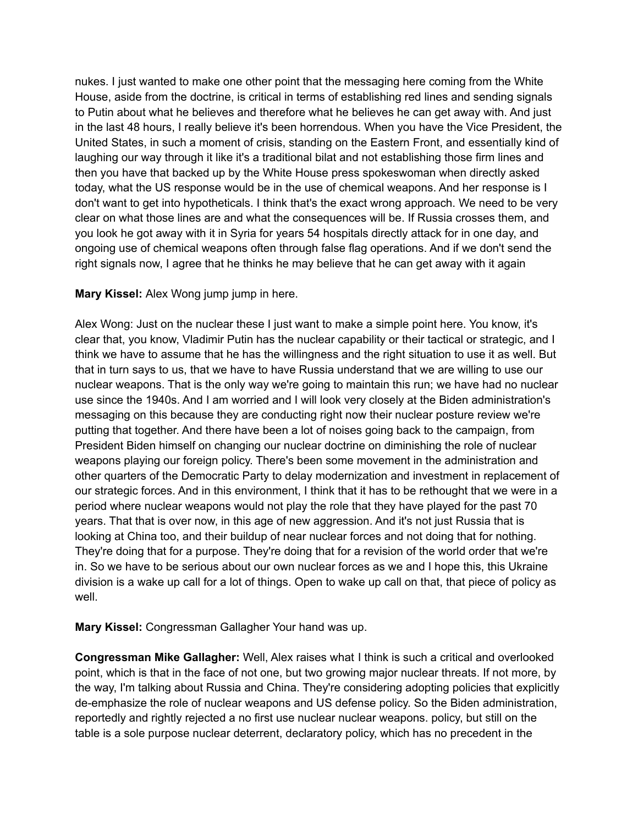nukes. I just wanted to make one other point that the messaging here coming from the White House, aside from the doctrine, is critical in terms of establishing red lines and sending signals to Putin about what he believes and therefore what he believes he can get away with. And just in the last 48 hours, I really believe it's been horrendous. When you have the Vice President, the United States, in such a moment of crisis, standing on the Eastern Front, and essentially kind of laughing our way through it like it's a traditional bilat and not establishing those firm lines and then you have that backed up by the White House press spokeswoman when directly asked today, what the US response would be in the use of chemical weapons. And her response is I don't want to get into hypotheticals. I think that's the exact wrong approach. We need to be very clear on what those lines are and what the consequences will be. If Russia crosses them, and you look he got away with it in Syria for years 54 hospitals directly attack for in one day, and ongoing use of chemical weapons often through false flag operations. And if we don't send the right signals now, I agree that he thinks he may believe that he can get away with it again

## **Mary Kissel:** Alex Wong jump jump in here.

Alex Wong: Just on the nuclear these I just want to make a simple point here. You know, it's clear that, you know, Vladimir Putin has the nuclear capability or their tactical or strategic, and I think we have to assume that he has the willingness and the right situation to use it as well. But that in turn says to us, that we have to have Russia understand that we are willing to use our nuclear weapons. That is the only way we're going to maintain this run; we have had no nuclear use since the 1940s. And I am worried and I will look very closely at the Biden administration's messaging on this because they are conducting right now their nuclear posture review we're putting that together. And there have been a lot of noises going back to the campaign, from President Biden himself on changing our nuclear doctrine on diminishing the role of nuclear weapons playing our foreign policy. There's been some movement in the administration and other quarters of the Democratic Party to delay modernization and investment in replacement of our strategic forces. And in this environment, I think that it has to be rethought that we were in a period where nuclear weapons would not play the role that they have played for the past 70 years. That that is over now, in this age of new aggression. And it's not just Russia that is looking at China too, and their buildup of near nuclear forces and not doing that for nothing. They're doing that for a purpose. They're doing that for a revision of the world order that we're in. So we have to be serious about our own nuclear forces as we and I hope this, this Ukraine division is a wake up call for a lot of things. Open to wake up call on that, that piece of policy as well.

**Mary Kissel:** Congressman Gallagher Your hand was up.

**Congressman Mike Gallagher:** Well, Alex raises what I think is such a critical and overlooked point, which is that in the face of not one, but two growing major nuclear threats. If not more, by the way, I'm talking about Russia and China. They're considering adopting policies that explicitly de-emphasize the role of nuclear weapons and US defense policy. So the Biden administration, reportedly and rightly rejected a no first use nuclear nuclear weapons. policy, but still on the table is a sole purpose nuclear deterrent, declaratory policy, which has no precedent in the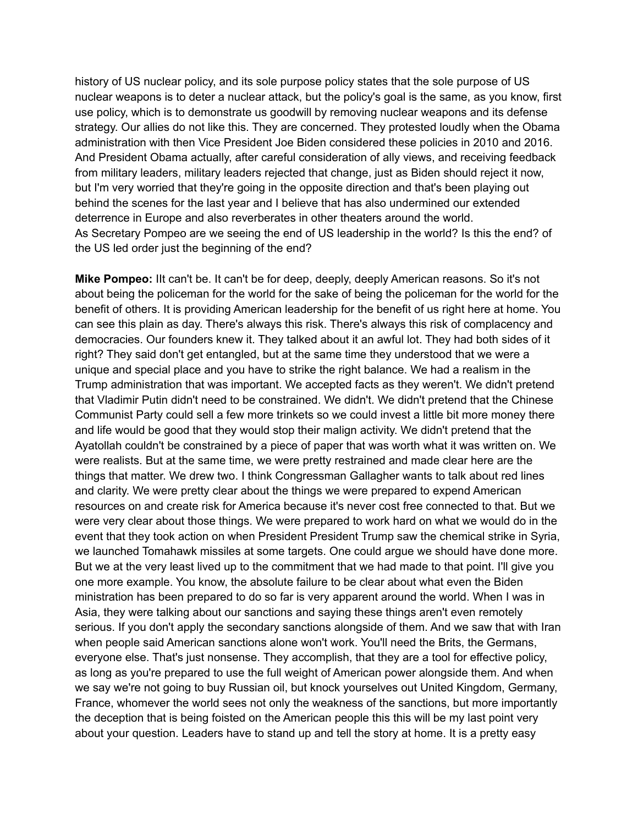history of US nuclear policy, and its sole purpose policy states that the sole purpose of US nuclear weapons is to deter a nuclear attack, but the policy's goal is the same, as you know, first use policy, which is to demonstrate us goodwill by removing nuclear weapons and its defense strategy. Our allies do not like this. They are concerned. They protested loudly when the Obama administration with then Vice President Joe Biden considered these policies in 2010 and 2016. And President Obama actually, after careful consideration of ally views, and receiving feedback from military leaders, military leaders rejected that change, just as Biden should reject it now, but I'm very worried that they're going in the opposite direction and that's been playing out behind the scenes for the last year and I believe that has also undermined our extended deterrence in Europe and also reverberates in other theaters around the world. As Secretary Pompeo are we seeing the end of US leadership in the world? Is this the end? of the US led order just the beginning of the end?

**Mike Pompeo:** IIt can't be. It can't be for deep, deeply, deeply American reasons. So it's not about being the policeman for the world for the sake of being the policeman for the world for the benefit of others. It is providing American leadership for the benefit of us right here at home. You can see this plain as day. There's always this risk. There's always this risk of complacency and democracies. Our founders knew it. They talked about it an awful lot. They had both sides of it right? They said don't get entangled, but at the same time they understood that we were a unique and special place and you have to strike the right balance. We had a realism in the Trump administration that was important. We accepted facts as they weren't. We didn't pretend that Vladimir Putin didn't need to be constrained. We didn't. We didn't pretend that the Chinese Communist Party could sell a few more trinkets so we could invest a little bit more money there and life would be good that they would stop their malign activity. We didn't pretend that the Ayatollah couldn't be constrained by a piece of paper that was worth what it was written on. We were realists. But at the same time, we were pretty restrained and made clear here are the things that matter. We drew two. I think Congressman Gallagher wants to talk about red lines and clarity. We were pretty clear about the things we were prepared to expend American resources on and create risk for America because it's never cost free connected to that. But we were very clear about those things. We were prepared to work hard on what we would do in the event that they took action on when President President Trump saw the chemical strike in Syria, we launched Tomahawk missiles at some targets. One could argue we should have done more. But we at the very least lived up to the commitment that we had made to that point. I'll give you one more example. You know, the absolute failure to be clear about what even the Biden ministration has been prepared to do so far is very apparent around the world. When I was in Asia, they were talking about our sanctions and saying these things aren't even remotely serious. If you don't apply the secondary sanctions alongside of them. And we saw that with Iran when people said American sanctions alone won't work. You'll need the Brits, the Germans, everyone else. That's just nonsense. They accomplish, that they are a tool for effective policy, as long as you're prepared to use the full weight of American power alongside them. And when we say we're not going to buy Russian oil, but knock yourselves out United Kingdom, Germany, France, whomever the world sees not only the weakness of the sanctions, but more importantly the deception that is being foisted on the American people this this will be my last point very about your question. Leaders have to stand up and tell the story at home. It is a pretty easy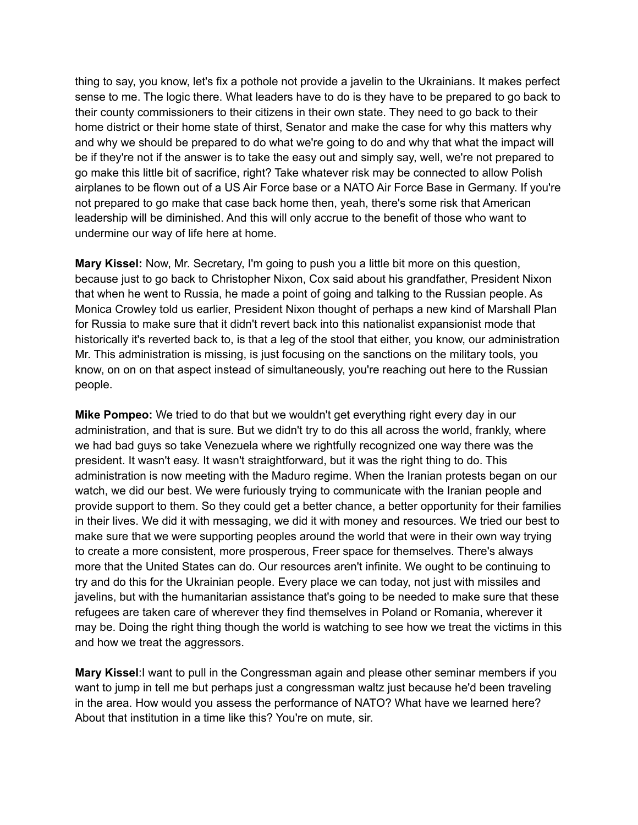thing to say, you know, let's fix a pothole not provide a javelin to the Ukrainians. It makes perfect sense to me. The logic there. What leaders have to do is they have to be prepared to go back to their county commissioners to their citizens in their own state. They need to go back to their home district or their home state of thirst, Senator and make the case for why this matters why and why we should be prepared to do what we're going to do and why that what the impact will be if they're not if the answer is to take the easy out and simply say, well, we're not prepared to go make this little bit of sacrifice, right? Take whatever risk may be connected to allow Polish airplanes to be flown out of a US Air Force base or a NATO Air Force Base in Germany. If you're not prepared to go make that case back home then, yeah, there's some risk that American leadership will be diminished. And this will only accrue to the benefit of those who want to undermine our way of life here at home.

**Mary Kissel:** Now, Mr. Secretary, I'm going to push you a little bit more on this question, because just to go back to Christopher Nixon, Cox said about his grandfather, President Nixon that when he went to Russia, he made a point of going and talking to the Russian people. As Monica Crowley told us earlier, President Nixon thought of perhaps a new kind of Marshall Plan for Russia to make sure that it didn't revert back into this nationalist expansionist mode that historically it's reverted back to, is that a leg of the stool that either, you know, our administration Mr. This administration is missing, is just focusing on the sanctions on the military tools, you know, on on on that aspect instead of simultaneously, you're reaching out here to the Russian people.

**Mike Pompeo:** We tried to do that but we wouldn't get everything right every day in our administration, and that is sure. But we didn't try to do this all across the world, frankly, where we had bad guys so take Venezuela where we rightfully recognized one way there was the president. It wasn't easy. It wasn't straightforward, but it was the right thing to do. This administration is now meeting with the Maduro regime. When the Iranian protests began on our watch, we did our best. We were furiously trying to communicate with the Iranian people and provide support to them. So they could get a better chance, a better opportunity for their families in their lives. We did it with messaging, we did it with money and resources. We tried our best to make sure that we were supporting peoples around the world that were in their own way trying to create a more consistent, more prosperous, Freer space for themselves. There's always more that the United States can do. Our resources aren't infinite. We ought to be continuing to try and do this for the Ukrainian people. Every place we can today, not just with missiles and javelins, but with the humanitarian assistance that's going to be needed to make sure that these refugees are taken care of wherever they find themselves in Poland or Romania, wherever it may be. Doing the right thing though the world is watching to see how we treat the victims in this and how we treat the aggressors.

**Mary Kissel**:I want to pull in the Congressman again and please other seminar members if you want to jump in tell me but perhaps just a congressman waltz just because he'd been traveling in the area. How would you assess the performance of NATO? What have we learned here? About that institution in a time like this? You're on mute, sir.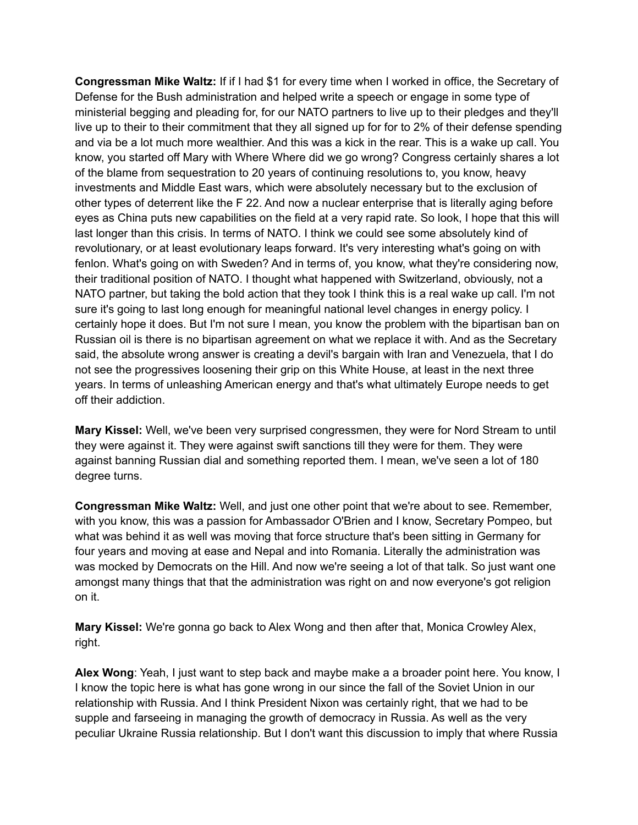**Congressman Mike Waltz:** If if I had \$1 for every time when I worked in office, the Secretary of Defense for the Bush administration and helped write a speech or engage in some type of ministerial begging and pleading for, for our NATO partners to live up to their pledges and they'll live up to their to their commitment that they all signed up for for to 2% of their defense spending and via be a lot much more wealthier. And this was a kick in the rear. This is a wake up call. You know, you started off Mary with Where Where did we go wrong? Congress certainly shares a lot of the blame from sequestration to 20 years of continuing resolutions to, you know, heavy investments and Middle East wars, which were absolutely necessary but to the exclusion of other types of deterrent like the F 22. And now a nuclear enterprise that is literally aging before eyes as China puts new capabilities on the field at a very rapid rate. So look, I hope that this will last longer than this crisis. In terms of NATO. I think we could see some absolutely kind of revolutionary, or at least evolutionary leaps forward. It's very interesting what's going on with fenlon. What's going on with Sweden? And in terms of, you know, what they're considering now, their traditional position of NATO. I thought what happened with Switzerland, obviously, not a NATO partner, but taking the bold action that they took I think this is a real wake up call. I'm not sure it's going to last long enough for meaningful national level changes in energy policy. I certainly hope it does. But I'm not sure I mean, you know the problem with the bipartisan ban on Russian oil is there is no bipartisan agreement on what we replace it with. And as the Secretary said, the absolute wrong answer is creating a devil's bargain with Iran and Venezuela, that I do not see the progressives loosening their grip on this White House, at least in the next three years. In terms of unleashing American energy and that's what ultimately Europe needs to get off their addiction.

**Mary Kissel:** Well, we've been very surprised congressmen, they were for Nord Stream to until they were against it. They were against swift sanctions till they were for them. They were against banning Russian dial and something reported them. I mean, we've seen a lot of 180 degree turns.

**Congressman Mike Waltz:** Well, and just one other point that we're about to see. Remember, with you know, this was a passion for Ambassador O'Brien and I know, Secretary Pompeo, but what was behind it as well was moving that force structure that's been sitting in Germany for four years and moving at ease and Nepal and into Romania. Literally the administration was was mocked by Democrats on the Hill. And now we're seeing a lot of that talk. So just want one amongst many things that that the administration was right on and now everyone's got religion on it.

**Mary Kissel:** We're gonna go back to Alex Wong and then after that, Monica Crowley Alex, right.

**Alex Wong**: Yeah, I just want to step back and maybe make a a broader point here. You know, I I know the topic here is what has gone wrong in our since the fall of the Soviet Union in our relationship with Russia. And I think President Nixon was certainly right, that we had to be supple and farseeing in managing the growth of democracy in Russia. As well as the very peculiar Ukraine Russia relationship. But I don't want this discussion to imply that where Russia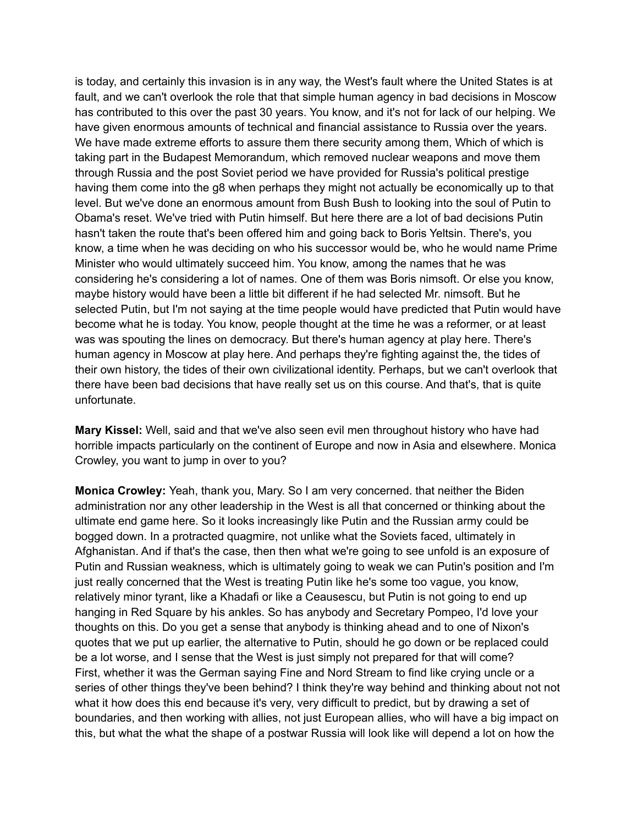is today, and certainly this invasion is in any way, the West's fault where the United States is at fault, and we can't overlook the role that that simple human agency in bad decisions in Moscow has contributed to this over the past 30 years. You know, and it's not for lack of our helping. We have given enormous amounts of technical and financial assistance to Russia over the years. We have made extreme efforts to assure them there security among them, Which of which is taking part in the Budapest Memorandum, which removed nuclear weapons and move them through Russia and the post Soviet period we have provided for Russia's political prestige having them come into the g8 when perhaps they might not actually be economically up to that level. But we've done an enormous amount from Bush Bush to looking into the soul of Putin to Obama's reset. We've tried with Putin himself. But here there are a lot of bad decisions Putin hasn't taken the route that's been offered him and going back to Boris Yeltsin. There's, you know, a time when he was deciding on who his successor would be, who he would name Prime Minister who would ultimately succeed him. You know, among the names that he was considering he's considering a lot of names. One of them was Boris nimsoft. Or else you know, maybe history would have been a little bit different if he had selected Mr. nimsoft. But he selected Putin, but I'm not saying at the time people would have predicted that Putin would have become what he is today. You know, people thought at the time he was a reformer, or at least was was spouting the lines on democracy. But there's human agency at play here. There's human agency in Moscow at play here. And perhaps they're fighting against the, the tides of their own history, the tides of their own civilizational identity. Perhaps, but we can't overlook that there have been bad decisions that have really set us on this course. And that's, that is quite unfortunate.

**Mary Kissel:** Well, said and that we've also seen evil men throughout history who have had horrible impacts particularly on the continent of Europe and now in Asia and elsewhere. Monica Crowley, you want to jump in over to you?

**Monica Crowley:** Yeah, thank you, Mary. So I am very concerned. that neither the Biden administration nor any other leadership in the West is all that concerned or thinking about the ultimate end game here. So it looks increasingly like Putin and the Russian army could be bogged down. In a protracted quagmire, not unlike what the Soviets faced, ultimately in Afghanistan. And if that's the case, then then what we're going to see unfold is an exposure of Putin and Russian weakness, which is ultimately going to weak we can Putin's position and I'm just really concerned that the West is treating Putin like he's some too vague, you know, relatively minor tyrant, like a Khadafi or like a Ceausescu, but Putin is not going to end up hanging in Red Square by his ankles. So has anybody and Secretary Pompeo, I'd love your thoughts on this. Do you get a sense that anybody is thinking ahead and to one of Nixon's quotes that we put up earlier, the alternative to Putin, should he go down or be replaced could be a lot worse, and I sense that the West is just simply not prepared for that will come? First, whether it was the German saying Fine and Nord Stream to find like crying uncle or a series of other things they've been behind? I think they're way behind and thinking about not not what it how does this end because it's very, very difficult to predict, but by drawing a set of boundaries, and then working with allies, not just European allies, who will have a big impact on this, but what the what the shape of a postwar Russia will look like will depend a lot on how the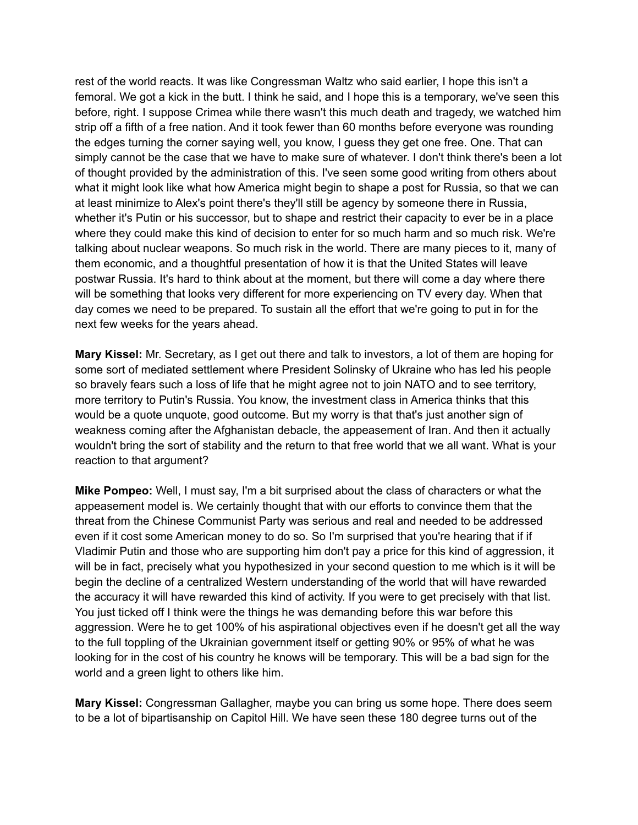rest of the world reacts. It was like Congressman Waltz who said earlier, I hope this isn't a femoral. We got a kick in the butt. I think he said, and I hope this is a temporary, we've seen this before, right. I suppose Crimea while there wasn't this much death and tragedy, we watched him strip off a fifth of a free nation. And it took fewer than 60 months before everyone was rounding the edges turning the corner saying well, you know, I guess they get one free. One. That can simply cannot be the case that we have to make sure of whatever. I don't think there's been a lot of thought provided by the administration of this. I've seen some good writing from others about what it might look like what how America might begin to shape a post for Russia, so that we can at least minimize to Alex's point there's they'll still be agency by someone there in Russia, whether it's Putin or his successor, but to shape and restrict their capacity to ever be in a place where they could make this kind of decision to enter for so much harm and so much risk. We're talking about nuclear weapons. So much risk in the world. There are many pieces to it, many of them economic, and a thoughtful presentation of how it is that the United States will leave postwar Russia. It's hard to think about at the moment, but there will come a day where there will be something that looks very different for more experiencing on TV every day. When that day comes we need to be prepared. To sustain all the effort that we're going to put in for the next few weeks for the years ahead.

**Mary Kissel:** Mr. Secretary, as I get out there and talk to investors, a lot of them are hoping for some sort of mediated settlement where President Solinsky of Ukraine who has led his people so bravely fears such a loss of life that he might agree not to join NATO and to see territory, more territory to Putin's Russia. You know, the investment class in America thinks that this would be a quote unquote, good outcome. But my worry is that that's just another sign of weakness coming after the Afghanistan debacle, the appeasement of Iran. And then it actually wouldn't bring the sort of stability and the return to that free world that we all want. What is your reaction to that argument?

**Mike Pompeo:** Well, I must say, I'm a bit surprised about the class of characters or what the appeasement model is. We certainly thought that with our efforts to convince them that the threat from the Chinese Communist Party was serious and real and needed to be addressed even if it cost some American money to do so. So I'm surprised that you're hearing that if if Vladimir Putin and those who are supporting him don't pay a price for this kind of aggression, it will be in fact, precisely what you hypothesized in your second question to me which is it will be begin the decline of a centralized Western understanding of the world that will have rewarded the accuracy it will have rewarded this kind of activity. If you were to get precisely with that list. You just ticked off I think were the things he was demanding before this war before this aggression. Were he to get 100% of his aspirational objectives even if he doesn't get all the way to the full toppling of the Ukrainian government itself or getting 90% or 95% of what he was looking for in the cost of his country he knows will be temporary. This will be a bad sign for the world and a green light to others like him.

**Mary Kissel:** Congressman Gallagher, maybe you can bring us some hope. There does seem to be a lot of bipartisanship on Capitol Hill. We have seen these 180 degree turns out of the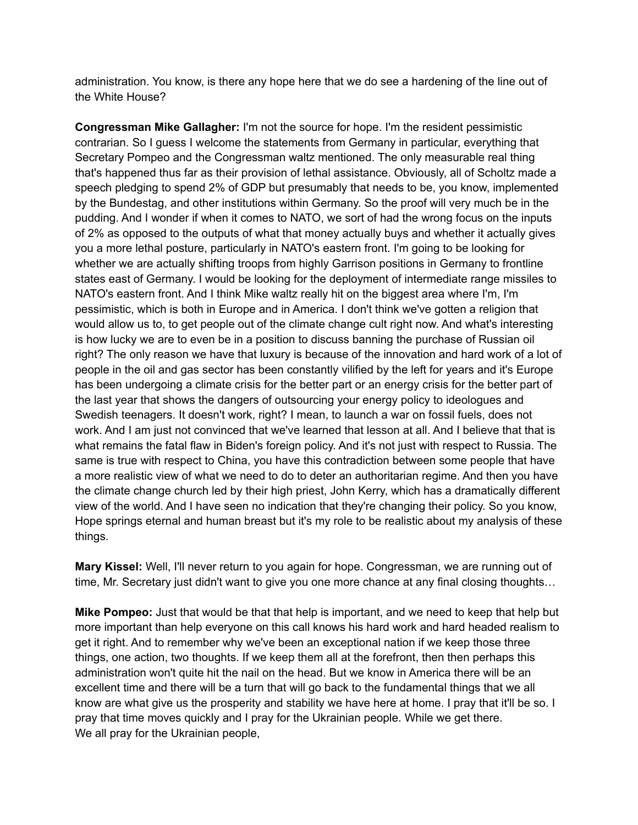administration. You know, is there any hope here that we do see a hardening of the line out of the White House?

**Congressman Mike Gallagher:** I'm not the source for hope. I'm the resident pessimistic contrarian. So I guess I welcome the statements from Germany in particular, everything that Secretary Pompeo and the Congressman waltz mentioned. The only measurable real thing that's happened thus far as their provision of lethal assistance. Obviously, all of Scholtz made a speech pledging to spend 2% of GDP but presumably that needs to be, you know, implemented by the Bundestag, and other institutions within Germany. So the proof will very much be in the pudding. And I wonder if when it comes to NATO, we sort of had the wrong focus on the inputs of 2% as opposed to the outputs of what that money actually buys and whether it actually gives you a more lethal posture, particularly in NATO's eastern front. I'm going to be looking for whether we are actually shifting troops from highly Garrison positions in Germany to frontline states east of Germany. I would be looking for the deployment of intermediate range missiles to NATO's eastern front. And I think Mike waltz really hit on the biggest area where I'm, I'm pessimistic, which is both in Europe and in America. I don't think we've gotten a religion that would allow us to, to get people out of the climate change cult right now. And what's interesting is how lucky we are to even be in a position to discuss banning the purchase of Russian oil right? The only reason we have that luxury is because of the innovation and hard work of a lot of people in the oil and gas sector has been constantly vilified by the left for years and it's Europe has been undergoing a climate crisis for the better part or an energy crisis for the better part of the last year that shows the dangers of outsourcing your energy policy to ideologues and Swedish teenagers. It doesn't work, right? I mean, to launch a war on fossil fuels, does not work. And I am just not convinced that we've learned that lesson at all. And I believe that that is what remains the fatal flaw in Biden's foreign policy. And it's not just with respect to Russia. The same is true with respect to China, you have this contradiction between some people that have a more realistic view of what we need to do to deter an authoritarian regime. And then you have the climate change church led by their high priest, John Kerry, which has a dramatically different view of the world. And I have seen no indication that they're changing their policy. So you know, Hope springs eternal and human breast but it's my role to be realistic about my analysis of these things.

**Mary Kissel:** Well, I'll never return to you again for hope. Congressman, we are running out of time, Mr. Secretary just didn't want to give you one more chance at any final closing thoughts…

**Mike Pompeo:** Just that would be that that help is important, and we need to keep that help but more important than help everyone on this call knows his hard work and hard headed realism to get it right. And to remember why we've been an exceptional nation if we keep those three things, one action, two thoughts. If we keep them all at the forefront, then then perhaps this administration won't quite hit the nail on the head. But we know in America there will be an excellent time and there will be a turn that will go back to the fundamental things that we all know are what give us the prosperity and stability we have here at home. I pray that it'll be so. I pray that time moves quickly and I pray for the Ukrainian people. While we get there. We all pray for the Ukrainian people,